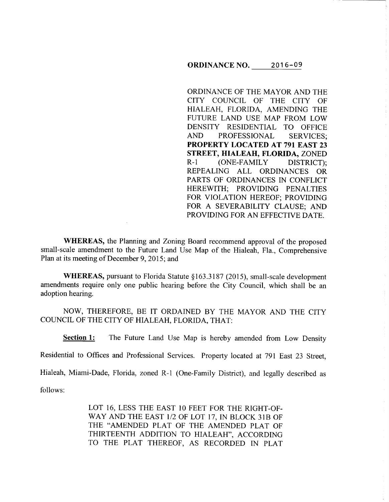### **ORDINANCE** NO. 2016-09

ORDINANCE OF THE MAYOR AND THE CITY COUNCIL OF THE CITY OF HIALEAH, FLORIDA, AMENDING THE FUTURE LAND USE MAP FROM LOW DENSITY RESIDENTIAL TO OFFICE AND PROFESSIONAL SERVICES; **PROPERTY LOCATED AT 791 EAST 23 STREET, HIALEAH, FLORIDA,** ZONED R-1 (ONE-FAMILY DISTRICT); REPEALING ALL ORDINANCES OR PARTS OF ORDINANCES IN CONFLICT HEREWITH; PROVIDING PENALTIES FOR VIOLATION HEREOF; PROVIDING FOR A SEVERABILITY CLAUSE; AND PROVIDING FOR AN EFFECTIVE DATE.

**WHEREAS,** the Planning and Zoning Board recommend approval of the proposed small-scale amendment to the Future Land Use Map of the Hialeah, Fla., Comprehensive Plan at its meeting of December 9, 2015; and

**WHEREAS,** pursuant to Florida Statute §163.3187 (2015), small-scale development amendments require only one public hearing before the City Council, which shall be an adoption hearing.

NOW, THEREFORE, BE IT ORDAINED BY THE MAYOR AND THE CITY COUNCIL OF THE CITY OF HIALEAH, FLORIDA, THAT:

**Section 1:** The Future Land Use Map is hereby amended from Low Density

Residential to Offices and Professional Services. Property located at 791 East 23 Street,

Hialeah, Miami-Dade, Florida, zoned R-1 (One-Family District), and legally described as

follows:

LOT 16, LESS THE EAST 10 FEET FOR THE RIGHT-OF-WAY AND THE EAST 1/2 OF LOT 17, IN BLOCK 31B OF THE "AMENDED PLAT OF THE AMENDED PLAT OF THIRTEENTH ADDITION TO HIALEAH", ACCORDING TO THE PLAT THEREOF, AS RECORDED IN PLAT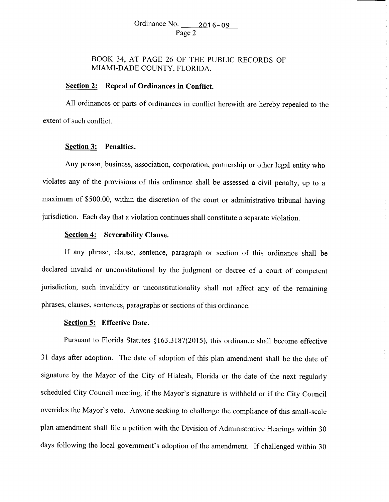# BOOK 34, AT PAGE 26 OF THE PUBLIC RECORDS OF MIAMI-DADE COUNTY, FLORIDA.

## **Section 2: Repeal of Ordinances in Conflict.**

All ordinances or parts of ordinances in conflict herewith are hereby repealed to the extent of such conflict.

#### **Section 3: Penalties.**

Any person, business, association, corporation, partnership or other legal entity who violates any of the provisions of this ordinance shall be assessed a civil penalty, up to a maximum of \$500.00, within the discretion of the court or administrative tribunal having jurisdiction. Each day that a violation continues shall constitute a separate violation.

### **Section 4: Severability Clause.**

If any phrase, clause, sentence, paragraph or section of this ordinance shall be declared invalid or unconstitutional by the judgment or decree of a court of competent jurisdiction, such invalidity or unconstitutionality shall not affect any of the remaining <sup>p</sup>hrases, clauses, sentences, paragraphs or sections of this ordinance.

#### **Section 5: Effective Date.**

Pursuant to Florida Statutes §163.3187(2015), this ordinance shall become effective <sup>31</sup>days after adoption. The date of adoption of this plan amendment shall be the date of signature by the Mayor of the City of Hialeah, Florida or the date of the next regularly scheduled City Council meeting, if the Mayor's signature is withheld or if the City Council overrides the Mayor's veto. Anyone seeking to challenge the compliance of this small-scale <sup>p</sup>lan amendment shall file a petition with the Division of Administrative Hearings within 30 days following the local government's adoption of the amendment. If challenged within 30